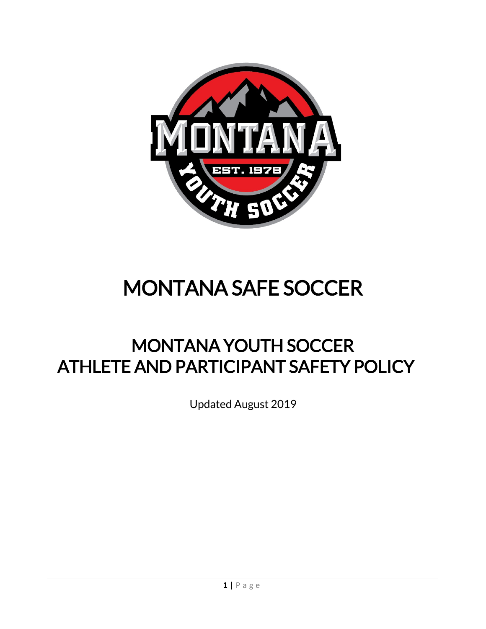

# <span id="page-0-0"></span>MONTANA SAFE SOCCER

# MONTANA YOUTH SOCCER ATHLETE AND PARTICIPANT SAFETY POLICY

Updated August 2019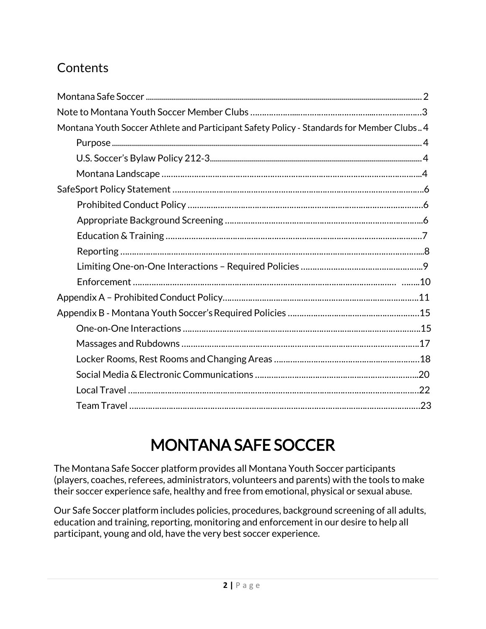# **Contents**

| Montana Youth Soccer Athlete and Participant Safety Policy - Standards for Member Clubs 4 |
|-------------------------------------------------------------------------------------------|
|                                                                                           |
|                                                                                           |
|                                                                                           |
|                                                                                           |
|                                                                                           |
|                                                                                           |
|                                                                                           |
|                                                                                           |
|                                                                                           |
|                                                                                           |
|                                                                                           |
|                                                                                           |
|                                                                                           |
|                                                                                           |
|                                                                                           |
|                                                                                           |
|                                                                                           |
|                                                                                           |

# MONTANA SAFE SOCCER

The Montana Safe Soccer platform provides all Montana Youth Soccer participants (players, coaches, referees, administrators, volunteers and parents) with the tools to make their soccer experience safe, healthy and free from emotional, physical or sexual abuse.

Our Safe Soccer platform includes policies, procedures, background screening of all adults, education and training, reporting, monitoring and enforcement in our desire to help all participant, young and old, have the very best soccer experience.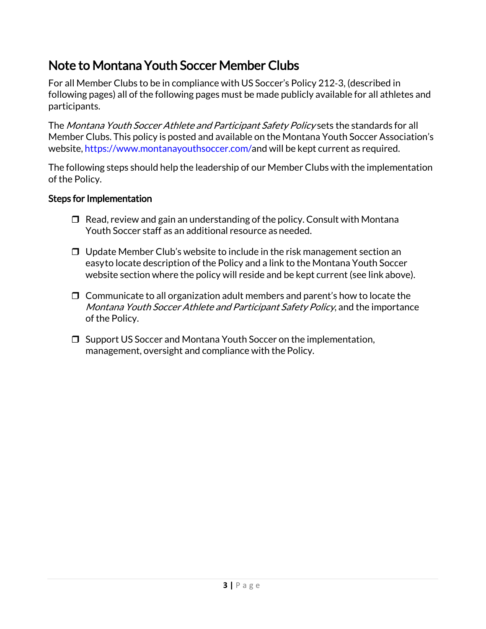## Note to Montana Youth Soccer Member Clubs

For all Member Clubs to be in compliance with US Soccer's Policy 212‐3, (described in following pages) all of the following pages must be made publicly available for all athletes and participants.

The Montana Youth Soccer Athlete and Participant Safety Policy sets the standards for all Member Clubs. This policy is posted and available on the Montana Youth Soccer Association's website, [https://www.montanayouthsoccer.com/a](https://www.montanayouthsoccer.com/)nd will be kept current as required.

The following steps should help the leadership of our Member Clubs with the implementation of the Policy.

#### Steps for Implementation

- $\Box$  Read, review and gain an understanding of the policy. Consult with Montana Youth Soccer staff as an additional resource as needed.
- $\Box$  Update Member Club's website to include in the risk management section an easyto locate description of the Policy and a link to the Montana Youth Soccer website section where the policy will reside and be kept current (see link above).
- $\Box$  Communicate to all organization adult members and parent's how to locate the Montana Youth Soccer Athlete and Participant Safety Policy, and the importance of the Policy.
- <span id="page-2-0"></span>□ Support US Soccer and Montana Youth Soccer on the implementation, management, oversight and compliance with the Policy.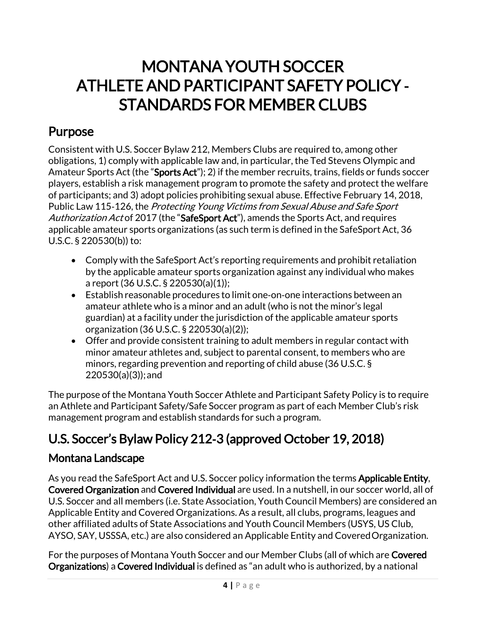# MONTANA YOUTH SOCCER ATHLETE AND PARTICIPANT SAFETY POLICY ‐ STANDARDS FOR MEMBER CLUBS

# <span id="page-3-0"></span>Purpose

Consistent with U.S. Soccer Bylaw 212, Members Clubs are required to, among other obligations, 1) comply with applicable law and, in particular, the Ted Stevens Olympic and Amateur Sports Act (the "Sports Act"); 2) if the member recruits, trains, fields or funds soccer players, establish a risk management program to promote the safety and protect the welfare of participants; and 3) adopt policies prohibiting sexual abuse. Effective February 14, 2018, Public Law 115-126, the Protecting Young Victims from Sexual Abuse and Safe Sport Authorization Act of 2017 (the "SafeSport Act"), amends the Sports Act, and requires applicable amateur sports organizations (as such term is defined in the SafeSport Act, 36 U.S.C. § 220530(b)) to:

- Comply with the SafeSport Act's reporting requirements and prohibit retaliation by the applicable amateur sports organization against any individual who makes a report (36 U.S.C. § 220530(a)(1));
- Establish reasonable procedures to limit one‐on‐one interactions between an amateur athlete who is a minor and an adult (who is not the minor's legal guardian) at a facility under the jurisdiction of the applicable amateur sports organization (36 U.S.C. § 220530(a)(2));
- Offer and provide consistent training to adult members in regular contact with minor amateur athletes and, subject to parental consent, to members who are minors, regarding prevention and reporting of child abuse (36 U.S.C. § 220530(a)(3));and

The purpose of the Montana Youth Soccer Athlete and Participant Safety Policy is to require an Athlete and Participant Safety/Safe Soccer program as part of each Member Club's risk management program and establish standards for such a program.

# <span id="page-3-1"></span>U.S. Soccer's Bylaw Policy 212‐3 (approved October 19, 2018)

### Montana Landscape

As you read the SafeSport Act and U.S. Soccer policy information the terms Applicable Entity, Covered Organization and Covered Individual are used. In a nutshell, in our soccer world, all of U.S. Soccer and all members (i.e. State Association, Youth Council Members) are considered an Applicable Entity and Covered Organizations. As a result, all clubs, programs, leagues and other affiliated adults of State Associations and Youth Council Members (USYS, US Club, AYSO, SAY, USSSA, etc.) are also considered an Applicable Entity and CoveredOrganization.

For the purposes of Montana Youth Soccer and our Member Clubs (all of which are Covered Organizations) a Covered Individual is defined as "an adult who is authorized, by a national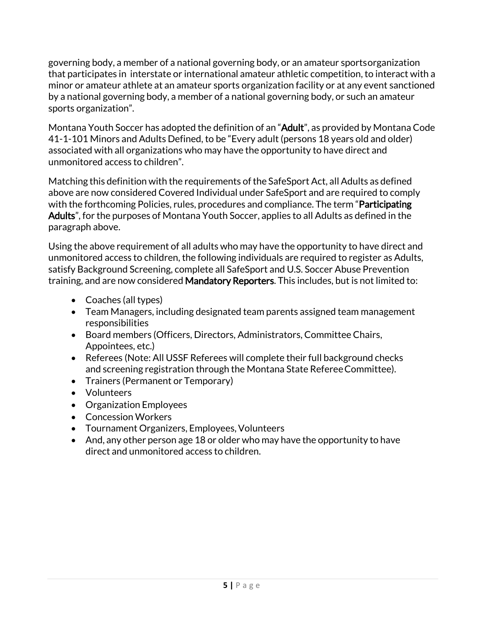governing body, a member of a national governing body, or an amateur sportsorganization that participates in interstate or international amateur athletic competition, to interact with a minor or amateur athlete at an amateur sports organization facility or at any event sanctioned by a national governing body, a member of a national governing body, or such an amateur sports organization".

Montana Youth Soccer has adopted the definition of an "Adult", as provided by Montana Code 41-1-101 Minors and Adults Defined, to be "Every adult (persons 18 years old and older) associated with all organizations who may have the opportunity to have direct and unmonitored access to children".

Matching this definition with the requirements ofthe SafeSport Act, all Adults as defined above are now considered Covered Individual under SafeSport and are required to comply with the forthcoming Policies, rules, procedures and compliance. The term "**Participating** Adults", for the purposes of Montana Youth Soccer, applies to all Adults as defined in the paragraph above.

Using the above requirement of all adults who may have the opportunity to have direct and unmonitored access to children, the following individuals are required to register as Adults, satisfy Background Screening, complete all SafeSport and U.S. Soccer Abuse Prevention training, and are now considered Mandatory Reporters. This includes, but is not limited to:

- Coaches (all types)
- Team Managers, including designated team parents assigned team management responsibilities
- Board members (Officers, Directors, Administrators, Committee Chairs, Appointees, etc.)
- Referees (Note: All USSF Referees will complete their full background checks and screening registration through the Montana State RefereeCommittee).
- Trainers (Permanent or Temporary)
- Volunteers
- Organization Employees
- Concession Workers
- Tournament Organizers, Employees, Volunteers
- And, any other person age 18 or older who may have the opportunity to have direct and unmonitored access to children.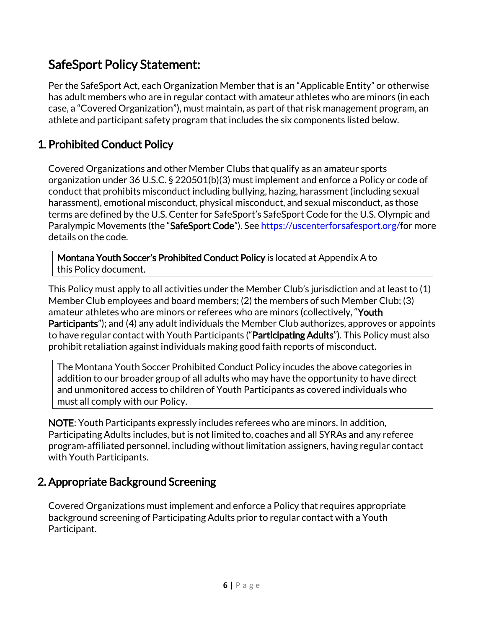## SafeSport Policy Statement:

Per the SafeSport Act, each Organization Member that is an "Applicable Entity" or otherwise has adult members who are in regular contact with amateur athletes who are minors (in each case, a "Covered Organization"), must maintain, as part of that risk management program, an athlete and participant safety program that includes the six components listed below.

### 1. Prohibited Conduct Policy

Covered Organizations and other Member Clubs that qualify as an amateur sports organization under 36 U.S.C. § 220501(b)(3) must implement and enforce a Policy or code of conduct that prohibits misconduct including bullying, hazing, harassment (including sexual harassment), emotional misconduct, physical misconduct, and sexual misconduct, as those terms are defined by the U.S. Center for SafeSport's SafeSport Code for the U.S. Olympic and Paralympic Movements (the "SafeSport Code"). See [https://uscenterforsafesport.org/f](https://uscenterforsafesport.org/)or more details on the code.

Montana Youth Soccer's Prohibited Conduct Policy is located at Appendix A to this Policy document.

This Policy must apply to all activities under the Member Club's jurisdiction and at least to (1) Member Club employees and board members; (2) the members of such Member Club; (3) amateur athletes who are minors or referees who are minors (collectively, "Youth Participants"); and (4) any adult individuals the Member Club authorizes, approves or appoints to have regular contact with Youth Participants ("Participating Adults"). This Policy must also prohibit retaliation against individuals making good faith reports of misconduct.

The Montana Youth Soccer Prohibited Conduct Policy incudes the above categories in addition to our broader group of all adults who may have the opportunity to have direct and unmonitored access to children of Youth Participants as covered individuals who must all comply with our Policy.

NOTE: Youth Participants expressly includes referees who are minors. In addition, Participating Adults includes, but is not limited to, coaches and all SYRAs and any referee program‐affiliated personnel, including without limitation assigners, having regular contact with Youth Participants.

### 2. Appropriate Background Screening

Covered Organizations must implement and enforce a Policy that requires appropriate background screening of Participating Adults prior to regular contact with a Youth Participant.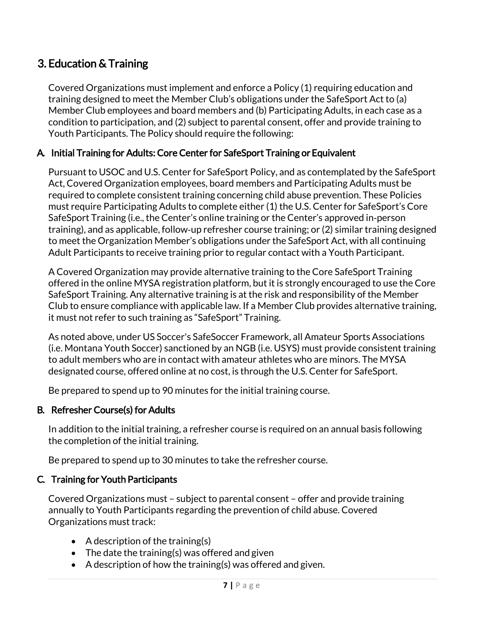### 3. Education & Training

Covered Organizations must implement and enforce a Policy (1) requiring education and training designed to meet the Member Club's obligations under the SafeSport Act to (a) Member Club employees and board members and (b) Participating Adults, in each case as a condition to participation, and (2) subject to parental consent, offer and provide training to Youth Participants. The Policy should require the following:

#### A. Initial Training for Adults: Core Center for SafeSport Training or Equivalent

Pursuant to USOC and U.S. Center for SafeSport Policy, and as contemplated by the SafeSport Act, Covered Organization employees, board members and Participating Adults must be required to complete consistent training concerning child abuse prevention. These Policies must require Participating Adults to complete either (1) the U.S. Center for SafeSport's Core SafeSport Training (i.e., the Center's online training or the Center's approved in‐person training), and as applicable, follow‐up refresher course training; or (2) similar training designed to meet the Organization Member's obligations under the SafeSport Act, with all continuing Adult Participants to receive training prior to regular contact with a Youth Participant.

A Covered Organization may provide alternative training to the Core SafeSport Training offered in the online MYSA registration platform, but it is strongly encouraged to use the Core SafeSport Training. Any alternative training is at the risk and responsibility of the Member Club to ensure compliance with applicable law. If a Member Club provides alternative training, it must not refer to such training as "SafeSport" Training.

As noted above, under US Soccer's SafeSoccer Framework, all Amateur Sports Associations (i.e. Montana Youth Soccer) sanctioned by an NGB (i.e. USYS) must provide consistent training to adult members who are in contact with amateur athletes who are minors. The MYSA designated course, offered online at no cost, is through the U.S. Center for SafeSport.

Be prepared to spend up to 90 minutes for the initial training course.

#### B. Refresher Course(s) for Adults

In addition to the initial training, a refresher course is required on an annual basis following the completion of the initial training.

Be prepared to spend up to 30 minutes to take the refresher course.

#### C. Training for Youth Participants

Covered Organizations must – subject to parental consent – offer and provide training annually to Youth Participants regarding the prevention of child abuse. Covered Organizations must track:

- A description of the training(s)
- The date the training(s) was offered and given
- A description of how the training(s) was offered and given.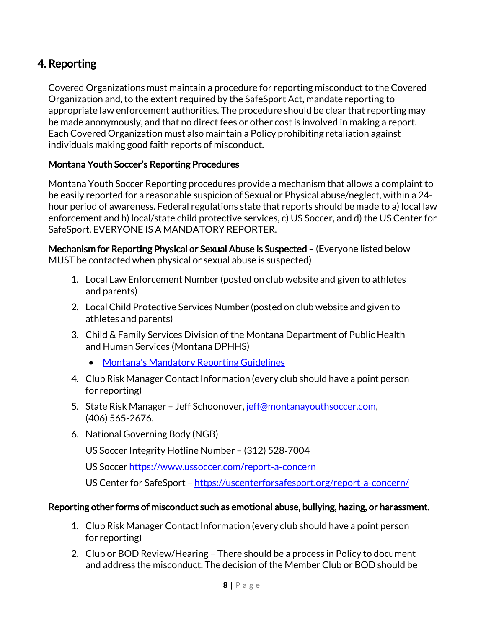### 4. Reporting

Covered Organizations must maintain a procedure for reporting misconduct to the Covered Organization and, to the extent required by the SafeSport Act, mandate reporting to appropriate law enforcement authorities. The procedure should be clear that reporting may be made anonymously, and that no direct fees or other cost is involved in making a report. Each Covered Organization must also maintain a Policy prohibiting retaliation against individuals making good faith reports of misconduct.

#### Montana Youth Soccer's Reporting Procedures

Montana Youth Soccer Reporting procedures provide a mechanism that allows a complaint to be easily reported for a reasonable suspicion of Sexual or Physical abuse/neglect, within a 24‐ hour period of awareness. Federal regulations state that reports should be made to a) local law enforcement and b) local/state child protective services, c) US Soccer, and d) the US Center for SafeSport. EVERYONE IS A MANDATORY REPORTER.

Mechanism for Reporting Physical or Sexual Abuse is Suspected – (Everyone listed below MUST be contacted when physical or sexual abuse is suspected)

- 1. Local Law Enforcement Number (posted on club website and given to athletes and parents)
- 2. Local Child Protective Services Number (posted on club website and given to athletes and parents)
- 3. Child & Family Services Division of the Montana Department of Public Health and Human Services (Montana DPHHS)
	- [Montana's Mandatory](https://dphhs.mt.gov/Portals/85/cfsd/documents/SchoolGuidelinesChildAbuseandNeglect.pdf) Reporting Guidelines
- 4. Club Risk Manager Contact Information (every club should have a point person for reporting)
- 5. State Risk Manager Jeff Schoonover[, jeff@montanayouthsoccer.com,](mailto:jeff@montanayouthsoccer.com) (406) 565-2676.
- 6. National Governing Body (NGB)

US Soccer Integrity Hotline Number – (312) 528‐7004

US Soccer<https://www.ussoccer.com/report-a-concern>

US Center for SafeSport - <https://uscenterforsafesport.org/report-a-concern/>

#### Reporting other forms of misconduct such as emotional abuse, bullying, hazing, or harassment.

- 1. Club Risk Manager Contact Information (every club should have a point person for reporting)
- 2. Club or BOD Review/Hearing There should be a process in Policy to document and address the misconduct. The decision of the Member Club or BOD should be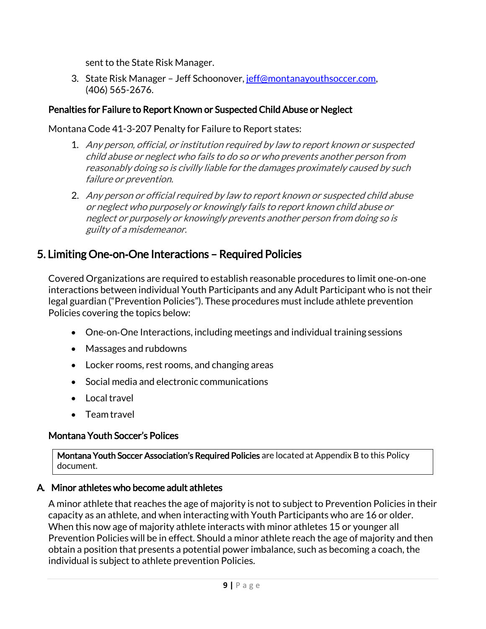sent to the State Risk Manager.

3. State Risk Manager – Jeff Schoonover[, jeff@montanayouthsoccer.com,](mailto:jeff@montanayouthsoccer.com) (406) 565-2676.

#### Penalties for Failure to Report Known or Suspected Child Abuse or Neglect

Montana Code 41-3-207 Penalty for Failure to Report states:

- 1. Any person, official, or institution required by law to report known or suspected child abuse or neglect who fails to do so or who prevents another person from reasonably doing so is civilly liable for the damages proximately caused by such failure or prevention.
- 2. Any person or official required by law to report known or suspected child abuse or neglect who purposely or knowingly fails to report known child abuse or neglect or purposely or knowingly prevents another person from doing so is guilty of a misdemeanor.

### 5. Limiting One‐on‐One Interactions – Required Policies

Covered Organizations are required to establish reasonable procedures to limit one‐on‐one interactions between individual Youth Participants and any Adult Participant who is not their legal guardian ("Prevention Policies"). These procedures must include athlete prevention Policies covering the topics below:

- One‐on‐One Interactions, including meetings and individual training sessions
- Massages and rubdowns
- Locker rooms, rest rooms, and changing areas
- Social media and electronic communications
- Local travel
- Team travel

#### Montana Youth Soccer's Polices

Montana Youth Soccer Association's Required Policies are located at Appendix B to this Policy document.

#### A. Minor athletes who become adult athletes

A minor athlete that reaches the age of majority is not to subject to Prevention Policies in their capacity as an athlete, and when interacting with Youth Participants who are 16 or older. When this now age of majority athlete interacts with minor athletes 15 or younger all Prevention Policies will be in effect. Should a minor athlete reach the age of majority and then obtain a position that presents a potential power imbalance, such as becoming a coach, the individual is subject to athlete prevention Policies.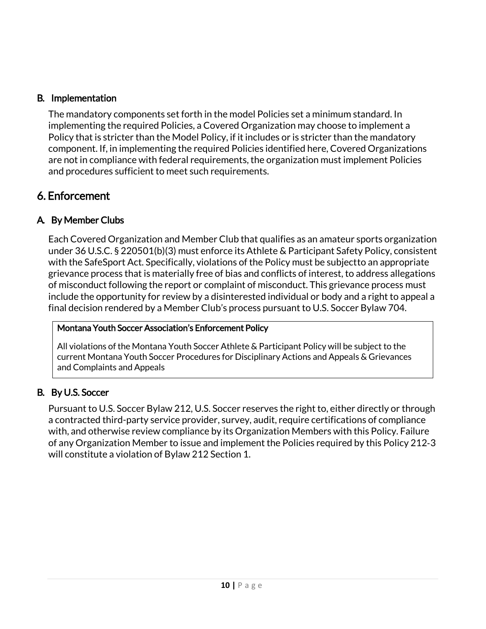#### B. Implementation

The mandatory components set forth in the model Policies set a minimum standard. In implementing the required Policies, a Covered Organization may choose to implement a Policy that is stricter than the Model Policy, if it includes or is stricter than the mandatory component. If, in implementing the required Policies identified here, Covered Organizations are not in compliance with federal requirements, the organization must implement Policies and procedures sufficient to meet such requirements.

### 6. Enforcement

#### A. By Member Clubs

Each Covered Organization and Member Club that qualifies as an amateur sports organization under 36 U.S.C. § 220501(b)(3) must enforce its Athlete & Participant Safety Policy, consistent with the SafeSport Act. Specifically, violations of the Policy must be subjectto an appropriate grievance process that is materially free of bias and conflicts of interest, to address allegations of misconduct following the report or complaint of misconduct. This grievance process must include the opportunity for review by a disinterested individual or body and a right to appeal a final decision rendered by a Member Club's process pursuant to U.S. Soccer Bylaw 704.

#### Montana Youth Soccer Association's Enforcement Policy

All violations of the Montana Youth Soccer Athlete & Participant Policy will be subject to the current Montana Youth Soccer Procedures for Disciplinary Actions and Appeals & Grievances and Complaints and Appeals

#### B. By U.S. Soccer

<span id="page-9-0"></span>Pursuant to U.S. Soccer Bylaw 212, U.S. Soccer reserves the right to, either directly or through a contracted third-party service provider, survey, audit, require certifications of compliance with, and otherwise review compliance by its Organization Members with this Policy. Failure of any Organization Member to issue and implement the Policies required by this Policy 212‐3 will constitute a violation of Bylaw 212 Section 1.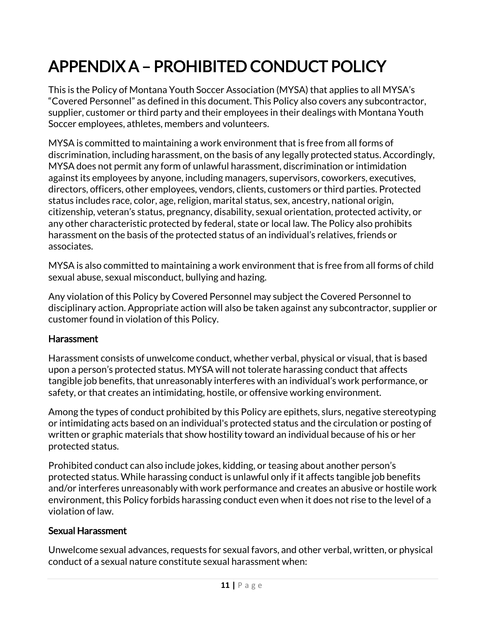# APPENDIX A – PROHIBITED CONDUCT POLICY

This is the Policy of Montana Youth Soccer Association (MYSA) that applies to all MYSA's "Covered Personnel" as defined in this document. This Policy also covers any subcontractor, supplier, customer or third party and their employees in their dealings with Montana Youth Soccer employees, athletes, members and volunteers.

MYSA is committed to maintaining a work environment that is free from all forms of discrimination, including harassment, on the basis of any legally protected status. Accordingly, MYSA does not permit any form of unlawful harassment, discrimination or intimidation against its employees by anyone, including managers, supervisors, coworkers, executives, directors, officers, other employees, vendors, clients, customers or third parties. Protected status includes race, color, age, religion, marital status, sex, ancestry, national origin, citizenship, veteran's status, pregnancy, disability, sexual orientation, protected activity, or any other characteristic protected by federal, state or local law. The Policy also prohibits harassment on the basis of the protected status of an individual's relatives, friends or associates.

MYSA is also committed to maintaining a work environment that is free from all forms of child sexual abuse, sexual misconduct, bullying and hazing.

Any violation of this Policy by Covered Personnel may subject the Covered Personnel to disciplinary action. Appropriate action will also be taken against any subcontractor, supplier or customer found in violation of this Policy.

#### **Harassment**

Harassment consists of unwelcome conduct, whether verbal, physical or visual, that is based upon a person's protected status. MYSA will not tolerate harassing conduct that affects tangible job benefits, that unreasonably interferes with an individual's work performance, or safety, or that creates an intimidating, hostile, or offensive working environment.

Among the types of conduct prohibited by this Policy are epithets, slurs, negative stereotyping or intimidating acts based on an individual's protected status and the circulation or posting of written or graphic materials that show hostility toward an individual because of his or her protected status.

Prohibited conduct can also include jokes, kidding, or teasing about another person's protected status. While harassing conduct is unlawful only if it affects tangible job benefits and/or interferes unreasonably with work performance and creates an abusive or hostile work environment, this Policy forbids harassing conduct even when it does not rise to the level of a violation of law.

#### Sexual Harassment

Unwelcome sexual advances, requests for sexual favors, and other verbal, written, or physical conduct of a sexual nature constitute sexual harassment when: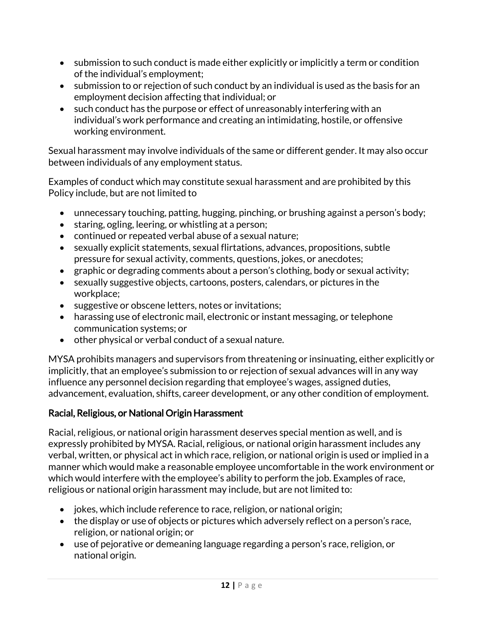- submission to such conduct is made either explicitly or implicitly a term or condition of the individual's employment;
- submission to or rejection of such conduct by an individual is used as the basis for an employment decision affecting that individual; or
- such conduct has the purpose or effect of unreasonably interfering with an individual's work performance and creating an intimidating, hostile, or offensive working environment.

Sexual harassment may involve individuals of the same or different gender. It may also occur between individuals of any employment status.

Examples of conduct which may constitute sexual harassment and are prohibited by this Policy include, but are not limited to

- unnecessary touching, patting, hugging, pinching, or brushing against a person's body;
- staring, ogling, leering, or whistling at a person;
- continued or repeated verbal abuse of a sexual nature;
- sexually explicit statements, sexual flirtations, advances, propositions, subtle pressure for sexual activity, comments, questions, jokes, or anecdotes;
- graphic or degrading comments about a person's clothing, body or sexual activity;
- sexually suggestive objects, cartoons, posters, calendars, or pictures in the workplace;
- suggestive or obscene letters, notes or invitations;
- harassing use of electronic mail, electronic or instant messaging, or telephone communication systems; or
- other physical or verbal conduct of a sexual nature.

MYSA prohibits managers and supervisors from threatening or insinuating, either explicitly or implicitly, that an employee's submission to or rejection of sexual advances will in any way influence any personnel decision regarding that employee's wages, assigned duties, advancement, evaluation, shifts, career development, or any other condition of employment.

#### Racial, Religious, or National Origin Harassment

Racial, religious, or national origin harassment deserves special mention as well, and is expressly prohibited by MYSA. Racial, religious, or national origin harassment includes any verbal, written, or physical act in which race, religion, or national origin is used or implied in a manner which would make a reasonable employee uncomfortable in the work environment or which would interfere with the employee's ability to perform the job. Examples of race, religious or national origin harassment may include, but are not limited to:

- jokes, which include reference to race, religion, or national origin;
- the display or use of objects or pictures which adversely reflect on a person's race, religion, or national origin; or
- use of pejorative or demeaning language regarding a person's race, religion, or national origin.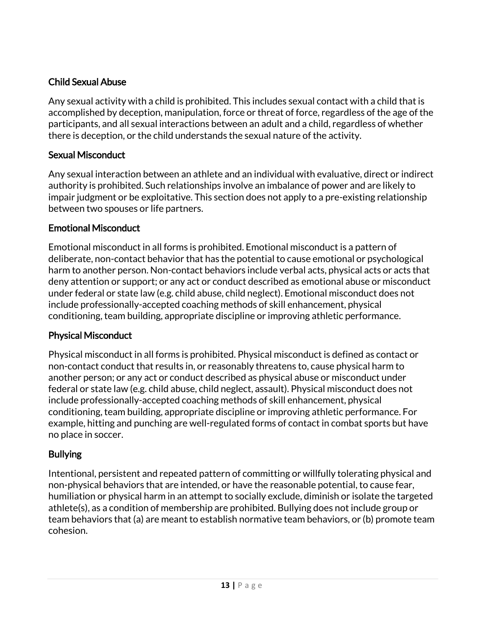#### Child Sexual Abuse

Any sexual activity with a child is prohibited. This includes sexual contact with a child that is accomplished by deception, manipulation, force or threat of force, regardless of the age of the participants, and all sexual interactions between an adult and a child, regardless of whether there is deception, or the child understands the sexual nature of the activity.

#### Sexual Misconduct

Any sexual interaction between an athlete and an individual with evaluative, direct or indirect authority is prohibited. Such relationships involve an imbalance of power and are likely to impair judgment or be exploitative. This section does not apply to a pre-existing relationship between two spouses or life partners.

#### Emotional Misconduct

Emotional misconduct in all forms is prohibited. Emotional misconduct is a pattern of deliberate, non-contact behavior that has the potential to cause emotional or psychological harm to another person. Non-contact behaviors include verbal acts, physical acts or acts that deny attention or support; or any act or conduct described as emotional abuse or misconduct under federal or state law (e.g. child abuse, child neglect). Emotional misconduct does not include professionally-accepted coaching methods of skill enhancement, physical conditioning, team building, appropriate discipline or improving athletic performance.

#### Physical Misconduct

Physical misconduct in all forms is prohibited. Physical misconduct is defined as contact or non-contact conduct that results in, or reasonably threatens to, cause physical harm to another person; or any act or conduct described as physical abuse or misconduct under federal or state law (e.g. child abuse, child neglect, assault). Physical misconduct does not include professionally-accepted coaching methods of skill enhancement, physical conditioning, team building, appropriate discipline or improving athletic performance. For example, hitting and punching are well-regulated forms of contact in combat sports but have no place in soccer.

#### Bullying

Intentional, persistent and repeated pattern of committing or willfully tolerating physical and non-physical behaviors that are intended, or have the reasonable potential, to cause fear, humiliation or physical harm in an attempt to socially exclude, diminish or isolate the targeted athlete(s), as a condition of membership are prohibited. Bullying does not include group or team behaviors that (a) are meant to establish normative team behaviors, or (b) promote team cohesion.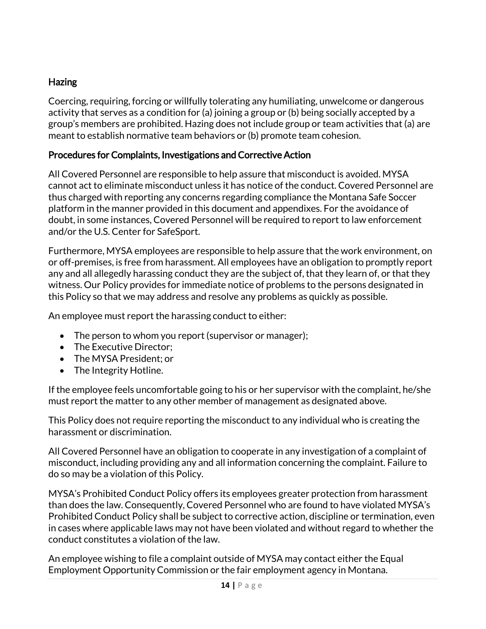#### Hazing

Coercing, requiring, forcing or willfully tolerating any humiliating, unwelcome or dangerous activity that serves as a condition for (a) joining a group or (b) being socially accepted by a group's members are prohibited. Hazing does not include group or team activities that (a) are meant to establish normative team behaviors or (b) promote team cohesion.

#### Procedures for Complaints, Investigations and Corrective Action

All Covered Personnel are responsible to help assure that misconduct is avoided. MYSA cannot act to eliminate misconduct unless it has notice of the conduct. Covered Personnel are thus charged with reporting any concerns regarding compliance the Montana Safe Soccer platform in the manner provided in this document and appendixes. For the avoidance of doubt, in some instances, Covered Personnel will be required to report to law enforcement and/or the U.S. Center for SafeSport.

Furthermore, MYSA employees are responsible to help assure that the work environment, on or off-premises, is free from harassment. All employees have an obligation to promptly report any and all allegedly harassing conduct they are the subject of, that they learn of, or that they witness. Our Policy provides for immediate notice of problems to the persons designated in this Policy so that we may address and resolve any problems as quickly as possible.

An employee must report the harassing conduct to either:

- The person to whom you report (supervisor or manager);
- The Executive Director:
- The MYSA President; or
- The Integrity Hotline.

If the employee feels uncomfortable going to his or her supervisor with the complaint, he/she must report the matter to any other member of management as designated above.

This Policy does not require reporting the misconduct to any individual who is creating the harassment or discrimination.

All Covered Personnel have an obligation to cooperate in any investigation of a complaint of misconduct, including providing any and all information concerning the complaint. Failure to do so may be a violation of this Policy.

MYSA's Prohibited Conduct Policy offers its employees greater protection from harassment than does the law. Consequently, Covered Personnel who are found to have violated MYSA's Prohibited Conduct Policy shall be subject to corrective action, discipline or termination, even in cases where applicable laws may not have been violated and without regard to whether the conduct constitutes a violation of the law.

An employee wishing to file a complaint outside of MYSA may contact either the Equal Employment Opportunity Commission or the fair employment agency in Montana.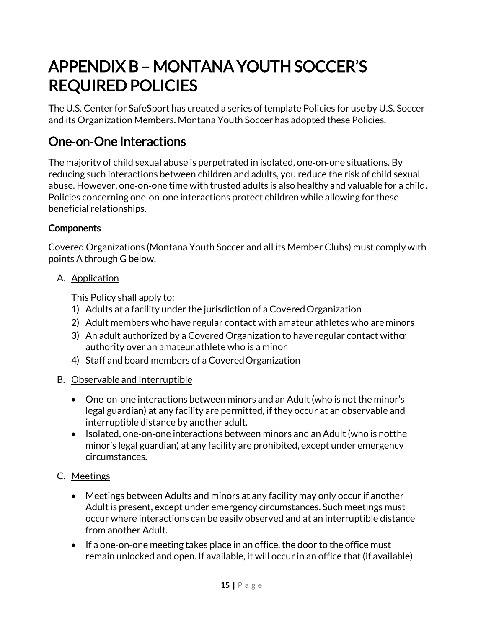# <span id="page-14-0"></span>APPENDIX B – MONTANA YOUTH SOCCER'S REQUIRED POLICIES

The U.S. Center for SafeSport has created a series of template Policies for use by U.S. Soccer and its Organization Members. Montana Youth Soccer has adopted these Policies.

### <span id="page-14-1"></span>One‐on‐One Interactions

The majority of child sexual abuse is perpetrated in isolated, one‐on‐one situations. By reducing such interactions between children and adults, you reduce the risk of child sexual abuse. However, one‐on‐one time with trusted adults is also healthy and valuable for a child. Policies concerning one‐on‐one interactions protect children while allowing for these beneficial relationships.

#### **Components**

Covered Organizations (Montana Youth Soccer and all its Member Clubs) must comply with points A through G below.

A. Application

This Policy shall apply to:

- 1) Adults at a facility under the jurisdiction of a CoveredOrganization
- 2) Adult members who have regular contact with amateur athletes who areminors
- 3) An adult authorized by a Covered Organization to have regular contact with  $\alpha$ authority over an amateur athlete who is a minor
- 4) Staff and board members of a CoveredOrganization
- B. Observable and Interruptible
	- One‐on‐one interactions between minors and an Adult(who is not the minor's legal guardian) at any facility are permitted, if they occur at an observable and interruptible distance by another adult.
	- Isolated, one‐on‐one interactions between minors and an Adult (who is notthe minor's legal guardian) at any facility are prohibited, except under emergency circumstances.
- C. Meetings
	- Meetings between Adults and minors at any facility may only occur if another Adult is present, except under emergency circumstances. Such meetings must occur where interactions can be easily observed and at an interruptible distance from another Adult.
	- If a one-on-one meeting takes place in an office, the door to the office must remain unlocked and open. If available, it will occur in an office that (if available)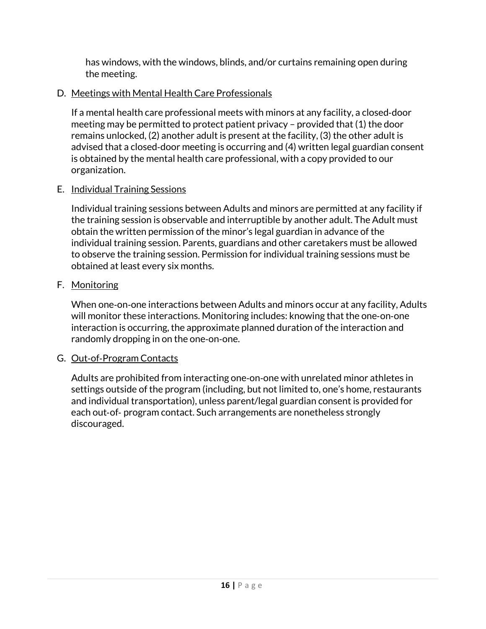has windows, with the windows, blinds, and/or curtains remaining open during the meeting.

#### D. Meetings with Mental Health Care Professionals

If a mental health care professional meets with minors at any facility, a closed‐door meeting may be permitted to protect patient privacy – provided that (1) the door remains unlocked, (2) another adult is present at the facility, (3) the other adult is advised that a closed‐door meeting is occurring and (4) written legal guardian consent is obtained by the mental health care professional, with a copy provided to our organization.

#### E. Individual Training Sessions

Individual training sessions between Adults and minors are permitted at any facility if the training session is observable and interruptible by another adult. The Adult must obtain the written permission of the minor's legal guardian in advance of the individual training session. Parents, guardians and other caretakers must be allowed to observe the training session. Permission for individual training sessions must be obtained at least every six months.

#### F. Monitoring

When one‐on‐one interactions between Adults and minors occur at any facility, Adults will monitor these interactions. Monitoring includes: knowing that the one‐on‐one interaction is occurring, the approximate planned duration of the interaction and randomly dropping in on the one‐on‐one.

#### G. Out‐of‐Program Contacts

<span id="page-15-0"></span>Adults are prohibited from interacting one‐on‐one with unrelated minor athletes in settings outside of the program (including, but not limited to, one's home, restaurants and individual transportation), unless parent/legal guardian consent is provided for each out‐of‐ program contact. Such arrangements are nonetheless strongly discouraged.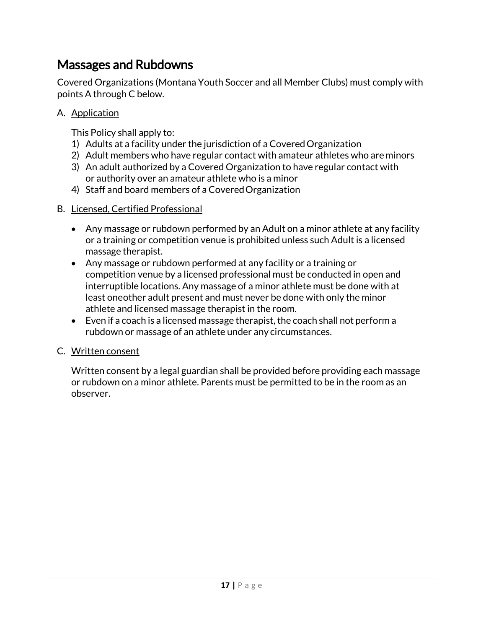## Massages and Rubdowns

Covered Organizations (Montana Youth Soccer and all Member Clubs) must comply with points A through C below.

A. Application

This Policy shall apply to:

- 1) Adults at a facility under the jurisdiction of a CoveredOrganization
- 2) Adult members who have regular contact with amateur athletes who areminors
- 3) An adult authorized by a Covered Organization to have regular contact with or authority over an amateur athlete who is a minor
- 4) Staff and board members of a CoveredOrganization

#### B. Licensed, Certified Professional

- Any massage or rubdown performed by an Adult on a minor athlete at any facility or a training or competition venue is prohibited unless such Adult is a licensed massage therapist.
- Any massage or rubdown performed at any facility or a training or competition venue by a licensed professional must be conducted in open and interruptible locations. Any massage of a minor athlete must be done with at least oneother adult present and must never be done with only the minor athlete and licensed massage therapist in the room.
- Even if a coach is a licensed massage therapist, the coach shall not perform a rubdown or massage of an athlete under any circumstances.

#### C. Written consent

<span id="page-16-0"></span>Written consent by a legal guardian shall be provided before providing each massage or rubdown on a minor athlete. Parents must be permitted to be in the room as an observer.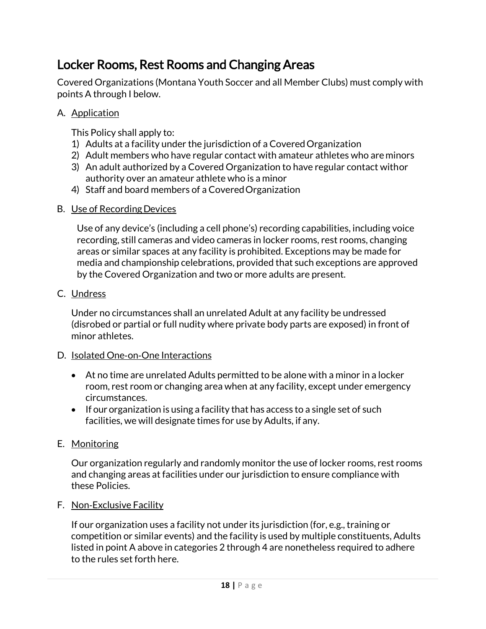## Locker Rooms, Rest Rooms and Changing Areas

Covered Organizations (Montana Youth Soccer and all Member Clubs) must comply with points A through I below.

#### A. Application

This Policy shall apply to:

- 1) Adults at a facility under the jurisdiction of a CoveredOrganization
- 2) Adult members who have regular contact with amateur athletes who areminors
- 3) An adult authorized by a Covered Organization to have regular contact withor authority over an amateur athlete who is a minor
- 4) Staff and board members of a CoveredOrganization

#### B. Use of Recording Devices

Use of any device's (including a cell phone's) recording capabilities, including voice recording, still cameras and video cameras in locker rooms, rest rooms, changing areas or similar spaces at any facility is prohibited. Exceptions may be made for media and championship celebrations, provided that such exceptions are approved by the Covered Organization and two or more adults are present.

#### C. Undress

Under no circumstances shall an unrelated Adult at any facility be undressed (disrobed or partial or full nudity where private body parts are exposed) in front of minor athletes.

#### D. Isolated One‐on‐One Interactions

- At no time are unrelated Adults permitted to be alone with a minor in a locker room, rest room or changing area when at any facility, except under emergency circumstances.
- If our organization is using a facility that has access to a single set of such facilities, we will designate times for use by Adults, if any.

#### E. Monitoring

Our organization regularly and randomly monitor the use of locker rooms, rest rooms and changing areas at facilities under our jurisdiction to ensure compliance with these Policies.

#### F. Non‐Exclusive Facility

If our organization uses a facility not under its jurisdiction (for, e.g., training or competition or similar events) and the facility is used by multiple constituents, Adults listed in point A above in categories 2 through 4 are nonetheless required to adhere to the rules set forth here.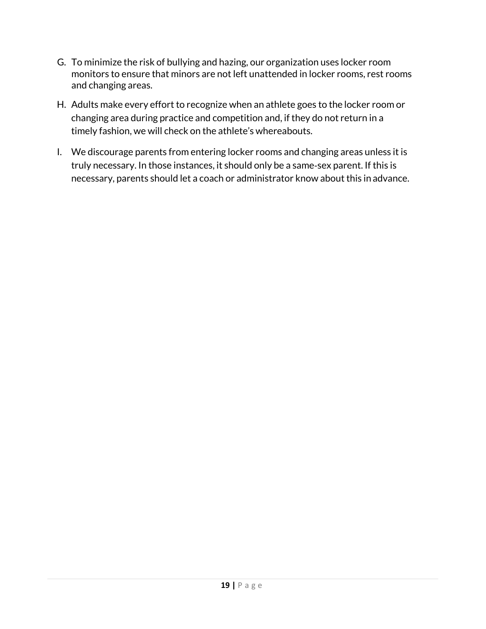- G. To minimize the risk of bullying and hazing, our organization uses locker room monitors to ensure that minors are not left unattended in locker rooms, rest rooms and changing areas.
- H. Adults make every effort to recognize when an athlete goes to the locker room or changing area during practice and competition and, if they do not return in a timely fashion, we will check on the athlete's whereabouts.
- <span id="page-18-0"></span>I. We discourage parents from entering locker rooms and changing areas unless it is truly necessary. In those instances, it should only be a same‐sex parent. If this is necessary, parents should let a coach or administrator know about this in advance.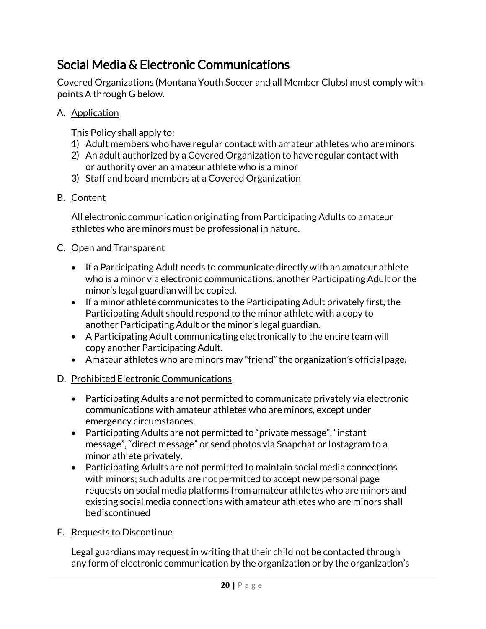## Social Media & Electronic Communications

Covered Organizations (Montana Youth Soccer and all Member Clubs) must comply with points A through G below.

A. Application

This Policy shall apply to:

- 1) Adult members who have regular contact with amateur athletes who areminors
- 2) An adult authorized by a Covered Organization to have regular contact with or authority over an amateur athlete who is a minor
- 3) Staff and board members at a Covered Organization
- B. Content

All electronic communication originating from Participating Adults to amateur athletes who are minors must be professional in nature.

#### C. Open and Transparent

- If a Participating Adult needs to communicate directly with an amateur athlete who is a minor via electronic communications, another Participating Adult or the minor's legal guardian will be copied.
- If a minor athlete communicates to the Participating Adult privately first, the Participating Adult should respond to the minor athlete with a copy to another Participating Adult or the minor's legal guardian.
- A Participating Adult communicating electronically to the entire team will copy another Participating Adult.
- Amateur athletes who are minors may "friend" the organization's official page.

#### D. Prohibited Electronic Communications

- Participating Adults are not permitted to communicate privately via electronic communications with amateur athletes who are minors, except under emergency circumstances.
- Participating Adults are not permitted to "private message", "instant message", "direct message" or send photos via Snapchat or Instagram to a minor athlete privately.
- Participating Adults are not permitted to maintain social media connections with minors; such adults are not permitted to accept new personal page requests on social media platforms from amateur athletes who are minors and existing social media connections with amateur athletes who are minors shall bediscontinued

#### E. Requests to Discontinue

Legal guardians may request in writing that their child not be contacted through any form of electronic communication by the organization or by the organization's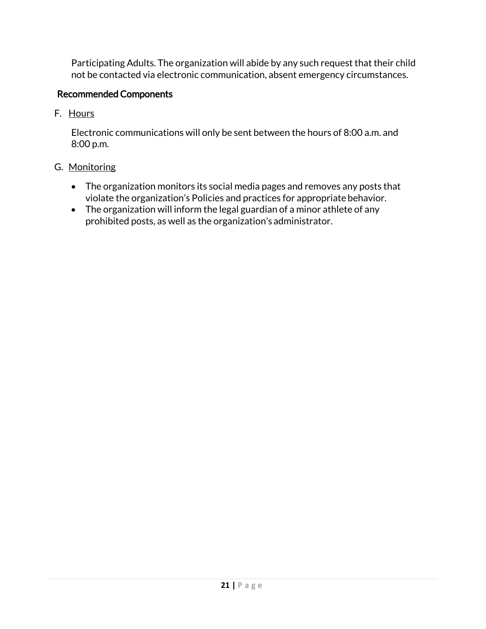Participating Adults. The organization will abide by any such request that their child not be contacted via electronic communication, absent emergency circumstances.

#### Recommended Components

F. Hours

<span id="page-20-0"></span>Electronic communications will only be sent between the hours of 8:00 a.m. and 8:00 p.m.

- G. Monitoring
	- The organization monitors its social media pages and removes any posts that violate the organization's Policies and practices for appropriatebehavior.
	- The organization will inform the legal guardian of a minor athlete of any prohibited posts, as well as the organization's administrator.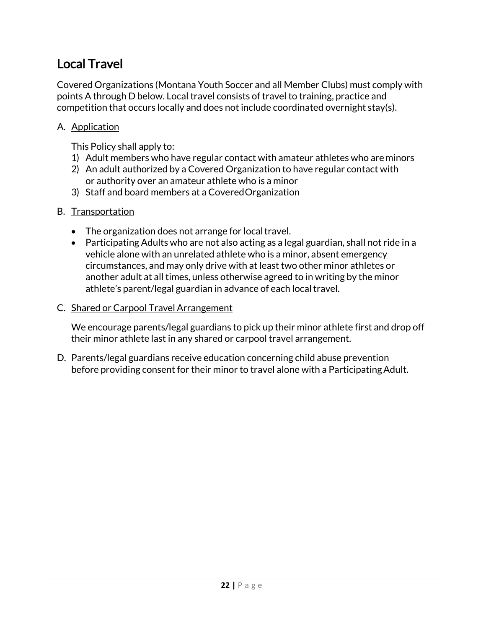# Local Travel

Covered Organizations (Montana Youth Soccer and all Member Clubs) must comply with points A through D below. Local travel consists of travel to training, practice and competition that occurs locally and does not include coordinated overnight stay(s).

#### A. Application

This Policy shall apply to:

- 1) Adult members who have regular contact with amateur athletes who areminors
- 2) An adult authorized by a Covered Organization to have regular contact with or authority over an amateur athlete who is a minor
- 3) Staff and board members at a CoveredOrganization

#### B. Transportation

- The organization does not arrange for local travel.
- Participating Adults who are not also acting as a legal guardian, shall not ride in a vehicle alone with an unrelated athlete who is a minor, absent emergency circumstances, and may only drive with at least two other minor athletes or another adult at all times, unless otherwise agreed to in writing by the minor athlete's parent/legal guardian in advance of each local travel.

#### C. Shared or Carpool Travel Arrangement

We encourage parents/legal guardians to pick up their minor athlete first and drop off their minor athlete last in any shared or carpool travel arrangement.

D. Parents/legal guardians receive education concerning child abuse prevention before providing consent for their minor to travel alone with a ParticipatingAdult.